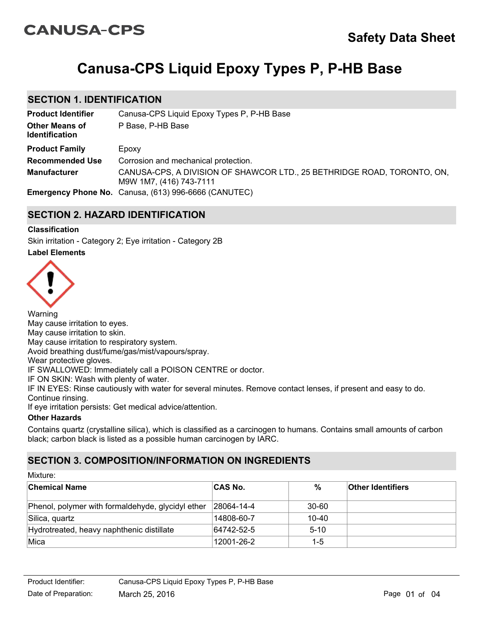# **CANUSA-CPS**

# **Canusa-CPS Liquid Epoxy Types P, P-HB Base**

## **SECTION 1. IDENTIFICATION**

| <b>Product Identifier</b>                      | Canusa-CPS Liquid Epoxy Types P, P-HB Base                                                         |
|------------------------------------------------|----------------------------------------------------------------------------------------------------|
| <b>Other Means of</b><br><b>Identification</b> | P Base, P-HB Base                                                                                  |
| <b>Product Family</b>                          | Epoxy                                                                                              |
| <b>Recommended Use</b>                         | Corrosion and mechanical protection.                                                               |
| <b>Manufacturer</b>                            | CANUSA-CPS, A DIVISION OF SHAWCOR LTD., 25 BETHRIDGE ROAD, TORONTO, ON,<br>M9W 1M7, (416) 743-7111 |
|                                                | Emergency Phone No. Canusa, (613) 996-6666 (CANUTEC)                                               |

# **SECTION 2. HAZARD IDENTIFICATION**

### **Label Elements Classification** Skin irritation - Category 2; Eye irritation - Category 2B



Warning May cause irritation to eyes. May cause irritation to skin. May cause irritation to respiratory system. Avoid breathing dust/fume/gas/mist/vapours/spray. Wear protective gloves. IF SWALLOWED: Immediately call a POISON CENTRE or doctor. IF ON SKIN: Wash with plenty of water. IF IN EYES: Rinse cautiously with water for several minutes. Remove contact lenses, if present and easy to do. Continue rinsing. If eye irritation persists: Get medical advice/attention. **Other Hazards**

Contains quartz (crystalline silica), which is classified as a carcinogen to humans. Contains small amounts of carbon black; carbon black is listed as a possible human carcinogen by IARC.

# **SECTION 3. COMPOSITION/INFORMATION ON INGREDIENTS**

| Mixture:                                          |                |               |                          |  |
|---------------------------------------------------|----------------|---------------|--------------------------|--|
| <b>Chemical Name</b>                              | <b>CAS No.</b> | $\frac{9}{6}$ | <b>Other Identifiers</b> |  |
| Phenol, polymer with formaldehyde, glycidyl ether | 28064-14-4     | 30-60         |                          |  |
| Silica, quartz                                    | 14808-60-7     | 10-40         |                          |  |
| Hydrotreated, heavy naphthenic distillate         | 64742-52-5     | $5 - 10$      |                          |  |
| Mica                                              | 12001-26-2     | $1 - 5$       |                          |  |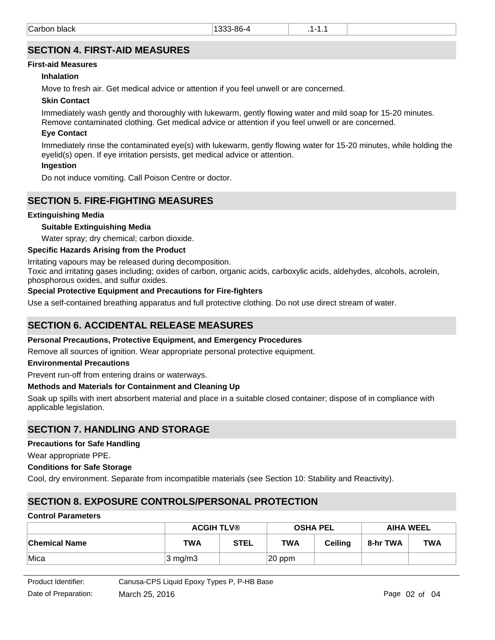# **SECTION 4. FIRST-AID MEASURES**

#### **First-aid Measures**

#### **Inhalation**

Move to fresh air. Get medical advice or attention if you feel unwell or are concerned.

#### **Skin Contact**

Immediately wash gently and thoroughly with lukewarm, gently flowing water and mild soap for 15-20 minutes. Remove contaminated clothing. Get medical advice or attention if you feel unwell or are concerned.

#### **Eye Contact**

Immediately rinse the contaminated eye(s) with lukewarm, gently flowing water for 15-20 minutes, while holding the eyelid(s) open. If eye irritation persists, get medical advice or attention.

#### **Ingestion**

Do not induce vomiting. Call Poison Centre or doctor.

## **SECTION 5. FIRE-FIGHTING MEASURES**

#### **Extinguishing Media**

#### **Suitable Extinguishing Media**

Water spray; dry chemical; carbon dioxide.

#### **Specific Hazards Arising from the Product**

Irritating vapours may be released during decomposition.

Toxic and irritating gases including; oxides of carbon, organic acids, carboxylic acids, aldehydes, alcohols, acrolein, phosphorous oxides, and sulfur oxides.

#### **Special Protective Equipment and Precautions for Fire-fighters**

Use a self-contained breathing apparatus and full protective clothing. Do not use direct stream of water.

## **SECTION 6. ACCIDENTAL RELEASE MEASURES**

#### **Personal Precautions, Protective Equipment, and Emergency Procedures**

Remove all sources of ignition. Wear appropriate personal protective equipment.

#### **Environmental Precautions**

Prevent run-off from entering drains or waterways.

#### **Methods and Materials for Containment and Cleaning Up**

Soak up spills with inert absorbent material and place in a suitable closed container; dispose of in compliance with applicable legislation.

## **SECTION 7. HANDLING AND STORAGE**

#### **Precautions for Safe Handling**

Wear appropriate PPE.

#### **Conditions for Safe Storage**

Cool, dry environment. Separate from incompatible materials (see Section 10: Stability and Reactivity).

# **SECTION 8. EXPOSURE CONTROLS/PERSONAL PROTECTION**

#### **Control Parameters**

|                      | <b>ACGIH TLV®</b> |             | <b>OSHA PEL</b> |                | <b>AIHA WEEL</b> |            |
|----------------------|-------------------|-------------|-----------------|----------------|------------------|------------|
| <b>Chemical Name</b> | <b>TWA</b>        | <b>STEL</b> | TWA             | <b>Ceiling</b> | 8-hr TWA         | <b>TWA</b> |
| ∣Mica                | $3 \text{ mg/m}$  |             | $ 20$ ppm       |                |                  |            |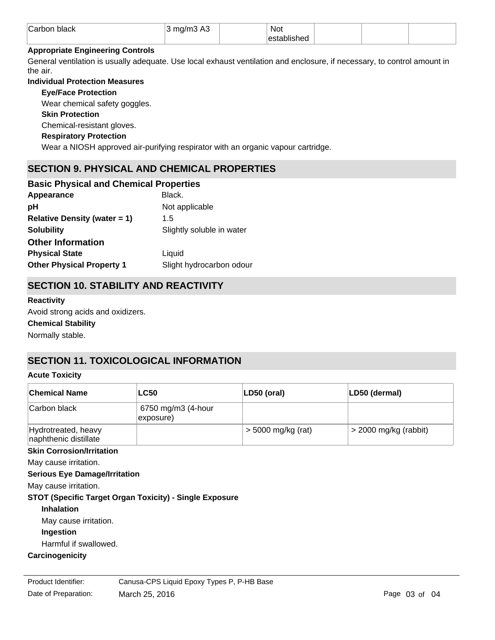| Carbon<br>black | $\sim$ modified:<br>75 N<br>$\sim$ 1/11 $\sim$<br>ີ | <b>Not</b>   |  |  |
|-----------------|-----------------------------------------------------|--------------|--|--|
|                 |                                                     | .<br>niisnec |  |  |

#### **Appropriate Engineering Controls**

General ventilation is usually adequate. Use local exhaust ventilation and enclosure, if necessary, to control amount in the air.

#### **Individual Protection Measures**

**Eye/Face Protection**

Wear chemical safety goggles.

#### **Skin Protection**

Chemical-resistant gloves.

#### **Respiratory Protection**

Wear a NIOSH approved air-purifying respirator with an organic vapour cartridge.

# **SECTION 9. PHYSICAL AND CHEMICAL PROPERTIES**

# Appearance **Black. Basic Physical and Chemical Properties**

| рH                               | Not applicable            |
|----------------------------------|---------------------------|
| Relative Density (water $= 1$ )  | 1.5                       |
| <b>Solubility</b>                | Slightly soluble in water |
| <b>Other Information</b>         |                           |
| <b>Physical State</b>            | Liquid                    |
| <b>Other Physical Property 1</b> | Slight hydrocarbon odour  |

# **SECTION 10. STABILITY AND REACTIVITY**

#### **Reactivity**

Avoid strong acids and oxidizers.

### **Chemical Stability**

Normally stable.

# **SECTION 11. TOXICOLOGICAL INFORMATION**

#### **Acute Toxicity**

| <b>Chemical Name</b>                         | <b>LC50</b>                     | $ LD50$ (oral)       | LD50 (dermal)           |
|----------------------------------------------|---------------------------------|----------------------|-------------------------|
| Carbon black                                 | 6750 mg/m3 (4-hour<br>exposure) |                      |                         |
| Hydrotreated, heavy<br>naphthenic distillate |                                 | $>$ 5000 mg/kg (rat) | $>$ 2000 mg/kg (rabbit) |

## **Skin Corrosion/Irritation**

May cause irritation.

#### **Serious Eye Damage/Irritation**

May cause irritation.

#### **STOT (Specific Target Organ Toxicity) - Single Exposure**

#### **Inhalation**

May cause irritation.

**Ingestion**

Harmful if swallowed.

# **Carcinogenicity**